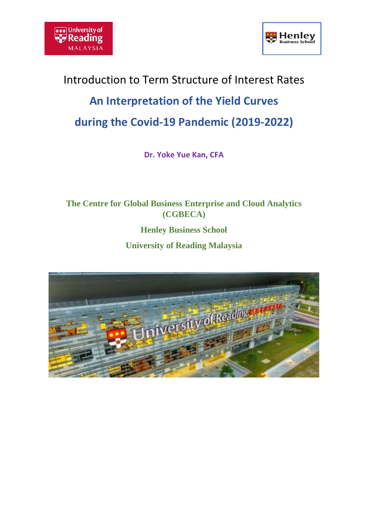



# Introduction to Term Structure of Interest Rates **An Interpretation of the Yield Curves during the Covid-19 Pandemic (2019-2022)**

**Dr. Yoke Yue Kan, CFA**

**The Centre for Global Business Enterprise and Cloud Analytics (CGBECA)**

**Henley Business School** 

**University of Reading Malaysia**

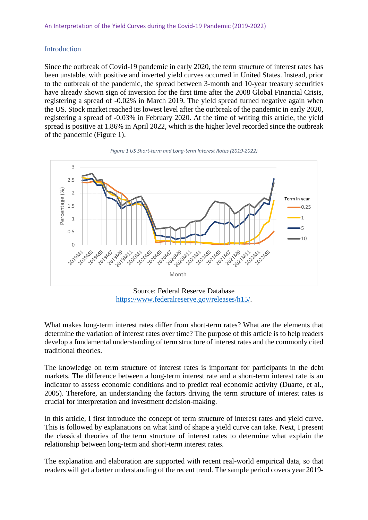# **Introduction**

Since the outbreak of Covid-19 pandemic in early 2020, the term structure of interest rates has been unstable, with positive and inverted yield curves occurred in United States. Instead, prior to the outbreak of the pandemic, the spread between 3-month and 10-year treasury securities have already shown sign of inversion for the first time after the 2008 Global Financial Crisis, registering a spread of -0.02% in March 2019. The yield spread turned negative again when the US. Stock market reached its lowest level after the outbreak of the pandemic in early 2020, registering a spread of -0.03% in February 2020. At the time of writing this article, the yield spread is positive at 1.86% in April 2022, which is the higher level recorded since the outbreak of the pandemic (Figure 1).





Source: Federal Reserve Database [https://www.federalreserve.gov/releases/h15/.](https://www.federalreserve.gov/releases/h15/)

What makes long-term interest rates differ from short-term rates? What are the elements that determine the variation of interest rates over time? The purpose of this article is to help readers develop a fundamental understanding of term structure of interest rates and the commonly cited traditional theories.

The knowledge on term structure of interest rates is important for participants in the debt markets. The difference between a long-term interest rate and a short-term interest rate is an indicator to assess economic conditions and to predict real economic activity (Duarte, et al., 2005). Therefore, an understanding the factors driving the term structure of interest rates is crucial for interpretation and investment decision-making.

In this article, I first introduce the concept of term structure of interest rates and yield curve. This is followed by explanations on what kind of shape a yield curve can take. Next, I present the classical theories of the term structure of interest rates to determine what explain the relationship between long-term and short-term interest rates.

The explanation and elaboration are supported with recent real-world empirical data, so that readers will get a better understanding of the recent trend. The sample period covers year 2019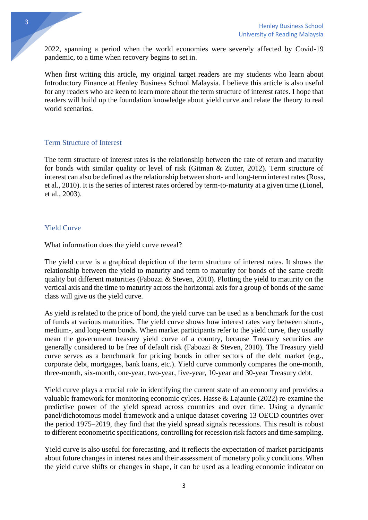2022, spanning a period when the world economies were severely affected by Covid-19 pandemic, to a time when recovery begins to set in.

When first writing this article, my original target readers are my students who learn about Introductory Finance at Henley Business School Malaysia. I believe this article is also useful for any readers who are keen to learn more about the term structure of interest rates. I hope that readers will build up the foundation knowledge about yield curve and relate the theory to real world scenarios.

#### Term Structure of Interest

The term structure of interest rates is the relationship between the rate of return and maturity for bonds with similar quality or level of risk (Gitman & Zutter, 2012). Term structure of interest can also be defined as the relationship between short- and long-term interest rates (Ross, et al., 2010). It is the series of interest rates ordered by term-to-maturity at a given time (Lionel, et al., 2003).

# Yield Curve

What information does the yield curve reveal?

The yield curve is a graphical depiction of the term structure of interest rates. It shows the relationship between the yield to maturity and term to maturity for bonds of the same credit quality but different maturities (Fabozzi  $\&$  Steven, 2010). Plotting the yield to maturity on the vertical axis and the time to maturity across the horizontal axis for a group of bonds of the same class will give us the yield curve.

As yield is related to the price of bond, the yield curve can be used as a benchmark for the cost of funds at various maturities. The yield curve shows how interest rates vary between short-, medium-, and long-term bonds. When market participants refer to the yield curve, they usually mean the government treasury yield curve of a country, because Treasury securities are generally considered to be free of default risk (Fabozzi & Steven, 2010). The Treasury yield curve serves as a benchmark for pricing bonds in other sectors of the debt market (e.g., corporate debt, mortgages, bank loans, etc.). Yield curve commonly compares the one-month, three-month, six-month, one-year, two-year, five-year, 10-year and 30-year Treasury debt.

Yield curve plays a crucial role in identifying the current state of an economy and provides a valuable framework for monitoring economic cylces. Hasse & Lajaunie (2022) re-examine the predictive power of the yield spread across countries and over time. Using a dynamic panel/dichotomous model framework and a unique dataset covering 13 OECD countries over the period 1975–2019, they find that the yield spread signals recessions. This result is robust to different econometric specifications, controlling for recession risk factors and time sampling.

Yield curve is also useful for forecasting, and it reflects the expectation of market participants about future changes in interest rates and their assessment of monetary policy conditions. When the yield curve shifts or changes in shape, it can be used as a leading economic indicator on

3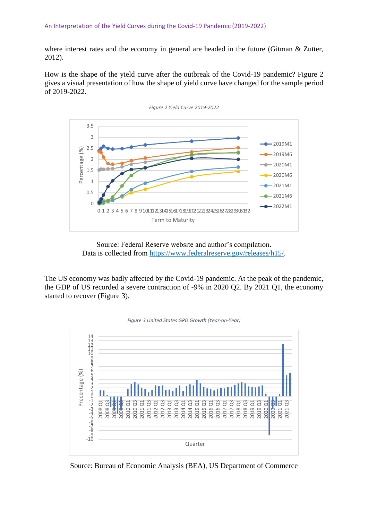where interest rates and the economy in general are headed in the future (Gitman & Zutter, 2012).

How is the shape of the yield curve after the outbreak of the Covid-19 pandemic? Figure 2 gives a visual presentation of how the shape of yield curve have changed for the sample period of 2019-2022.



Source: Federal Reserve website and author's compilation. Data is collected from [https://www.federalreserve.gov/releases/h15/.](https://www.federalreserve.gov/releases/h15/)

The US economy was badly affected by the Covid-19 pandemic. At the peak of the pandemic, the GDP of US recorded a severe contraction of -9% in 2020 Q2. By 2021 Q1, the economy started to recover (Figure 3).





Source: Bureau of Economic Analysis (BEA), US Department of Commerce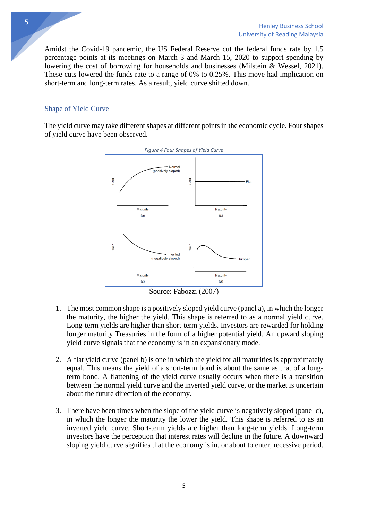Amidst the Covid-19 pandemic, the US Federal Reserve cut the federal funds rate by 1.5 percentage points at its meetings on March 3 and March 15, 2020 to support spending by lowering the cost of borrowing for households and businesses (Milstein & Wessel, 2021). These cuts lowered the funds rate to a range of 0% to 0.25%. This move had implication on short-term and long-term rates. As a result, yield curve shifted down.

### Shape of Yield Curve

The yield curve may take different shapes at different points in the economic cycle. Four shapes of yield curve have been observed.



Source: Fabozzi (2007)

- 1. The most common shape is a positively sloped yield curve (panel a), in which the longer the maturity, the higher the yield. This shape is referred to as a normal yield curve. Long-term yields are higher than short-term yields. Investors are rewarded for holding longer maturity Treasuries in the form of a higher potential yield. An upward sloping yield curve signals that the economy is in an expansionary mode.
- 2. A flat yield curve (panel b) is one in which the yield for all maturities is approximately equal. This means the yield of a short-term bond is about the same as that of a longterm bond. A flattening of the yield curve usually occurs when there is a transition between the normal yield curve and the inverted yield curve, or the market is uncertain about the future direction of the economy.
- 3. There have been times when the slope of the yield curve is negatively sloped (panel c), in which the longer the maturity the lower the yield. This shape is referred to as an inverted yield curve. Short-term yields are higher than long-term yields. Long-term investors have the perception that interest rates will decline in the future. A downward sloping yield curve signifies that the economy is in, or about to enter, recessive period.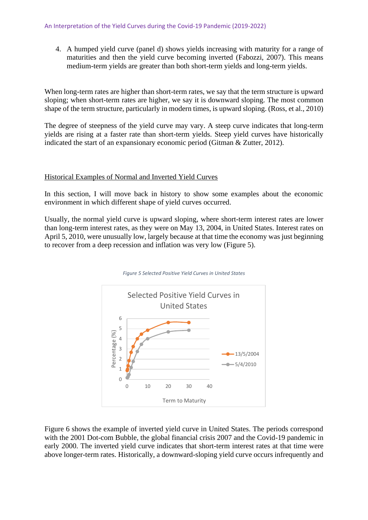4. A humped yield curve (panel d) shows yields increasing with maturity for a range of maturities and then the yield curve becoming inverted (Fabozzi, 2007). This means medium-term yields are greater than both short-term yields and long-term yields.

When long-term rates are higher than short-term rates, we say that the term structure is upward sloping; when short-term rates are higher, we say it is downward sloping. The most common shape of the term structure, particularly in modern times, is upward sloping. (Ross, et al., 2010)

The degree of steepness of the yield curve may vary. A steep curve indicates that long-term yields are rising at a faster rate than short-term yields. Steep yield curves have historically indicated the start of an expansionary economic period (Gitman & Zutter, 2012).

#### Historical Examples of Normal and Inverted Yield Curves

In this section, I will move back in history to show some examples about the economic environment in which different shape of yield curves occurred.

Usually, the normal yield curve is upward sloping, where short-term interest rates are lower than long-term interest rates, as they were on May 13, 2004, in United States. Interest rates on April 5, 2010, were unusually low, largely because at that time the economy was just beginning to recover from a deep recession and inflation was very low (Figure 5).

*Figure 5 Selected Positive Yield Curves in United States*



# Figure 6 shows the example of inverted yield curve in United States. The periods correspond with the 2001 Dot-com Bubble, the global financial crisis 2007 and the Covid-19 pandemic in early 2000. The inverted yield curve indicates that short-term interest rates at that time were above longer-term rates. Historically, a downward-sloping yield curve occurs infrequently and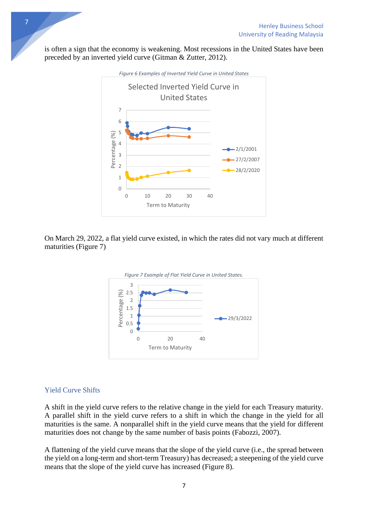is often a sign that the economy is weakening. Most recessions in the United States have been preceded by an inverted yield curve (Gitman & Zutter, 2012).



On March 29, 2022, a flat yield curve existed, in which the rates did not vary much at different maturities (Figure 7)



# Yield Curve Shifts

A shift in the yield curve refers to the relative change in the yield for each Treasury maturity. A parallel shift in the yield curve refers to a shift in which the change in the yield for all maturities is the same. A nonparallel shift in the yield curve means that the yield for different maturities does not change by the same number of basis points (Fabozzi, 2007).

A flattening of the yield curve means that the slope of the yield curve (i.e., the spread between the yield on a long-term and short-term Treasury) has decreased; a steepening of the yield curve means that the slope of the yield curve has increased (Figure 8).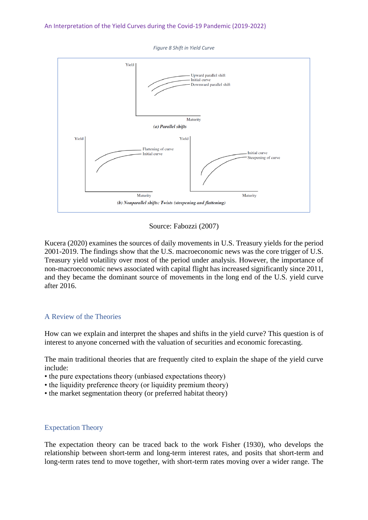*Figure 8 Shift in Yield Curve*



Source: Fabozzi (2007)

Kucera (2020) examines the sources of daily movements in U.S. Treasury yields for the period 2001-2019. The findings show that the U.S. macroeconomic news was the core trigger of U.S. Treasury yield volatility over most of the period under analysis. However, the importance of non-macroeconomic news associated with capital flight has increased significantly since 2011, and they became the dominant source of movements in the long end of the U.S. yield curve after 2016.

#### A Review of the Theories

How can we explain and interpret the shapes and shifts in the yield curve? This question is of interest to anyone concerned with the valuation of securities and economic forecasting.

The main traditional theories that are frequently cited to explain the shape of the yield curve include:

- the pure expectations theory (unbiased expectations theory)
- the liquidity preference theory (or liquidity premium theory)
- the market segmentation theory (or preferred habitat theory)

#### Expectation Theory

The expectation theory can be traced back to the work Fisher (1930), who develops the relationship between short-term and long-term interest rates, and posits that short-term and long-term rates tend to move together, with short-term rates moving over a wider range. The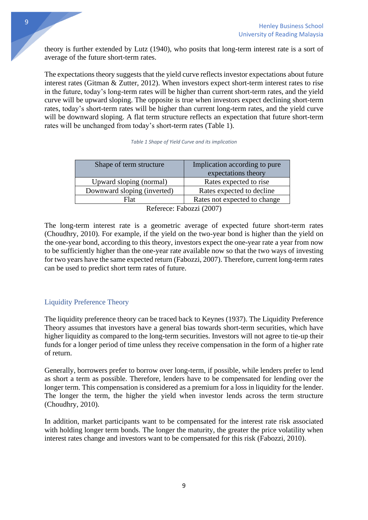theory is further extended by Lutz (1940), who posits that long-term interest rate is a sort of average of the future short-term rates.

The expectations theory suggests that the yield curve reflects investor expectations about future interest rates (Gitman & Zutter, 2012). When investors expect short-term interest rates to rise in the future, today's long-term rates will be higher than current short-term rates, and the yield curve will be upward sloping. The opposite is true when investors expect declining short-term rates, today's short-term rates will be higher than current long-term rates, and the yield curve will be downward sloping. A flat term structure reflects an expectation that future short-term rates will be unchanged from today's short-term rates (Table 1).

| Shape of term structure     | Implication according to pure<br>expectations theory |  |  |  |
|-----------------------------|------------------------------------------------------|--|--|--|
| Upward sloping (normal)     | Rates expected to rise                               |  |  |  |
| Downward sloping (inverted) | Rates expected to decline                            |  |  |  |
| Flat                        | Rates not expected to change                         |  |  |  |
| Referece: Fabozzi (2007)    |                                                      |  |  |  |

|  |  |  |  |  |  | Table 1 Shape of Yield Curve and its implication |
|--|--|--|--|--|--|--------------------------------------------------|
|--|--|--|--|--|--|--------------------------------------------------|

The long-term interest rate is a geometric average of expected future short-term rates (Choudhry, 2010). For example, if the yield on the two-year bond is higher than the yield on the one-year bond, according to this theory, investors expect the one-year rate a year from now to be sufficiently higher than the one-year rate available now so that the two ways of investing for two years have the same expected return (Fabozzi, 2007). Therefore, current long-term rates can be used to predict short term rates of future.

# Liquidity Preference Theory

The liquidity preference theory can be traced back to Keynes (1937). The Liquidity Preference Theory assumes that investors have a general bias towards short-term securities, which have higher liquidity as compared to the long-term securities. Investors will not agree to tie-up their funds for a longer period of time unless they receive compensation in the form of a higher rate of return.

Generally, borrowers prefer to borrow over long-term, if possible, while lenders prefer to lend as short a term as possible. Therefore, lenders have to be compensated for lending over the longer term. This compensation is considered as a premium for a loss in liquidity for the lender. The longer the term, the higher the yield when investor lends across the term structure (Choudhry, 2010).

In addition, market participants want to be compensated for the interest rate risk associated with holding longer term bonds. The longer the maturity, the greater the price volatility when interest rates change and investors want to be compensated for this risk (Fabozzi, 2010).

9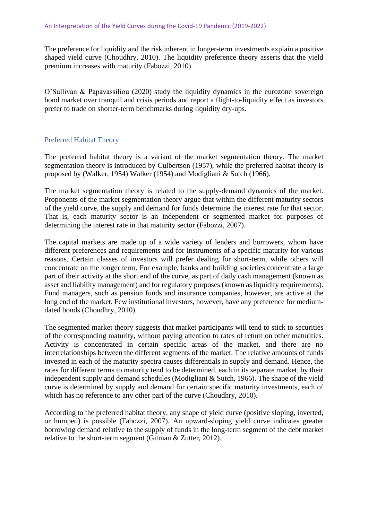The preference for liquidity and the risk inherent in longer-term investments explain a positive shaped yield curve (Choudhry, 2010). The liquidity preference theory asserts that the yield premium increases with maturity (Fabozzi, 2010).

O'Sullivan & Papavassiliou (2020) study the liquidity dynamics in the eurozone sovereign bond market over tranquil and crisis periods and report a flight-to-liquidity effect as investors prefer to trade on shorter-term benchmarks during liquidity dry-ups.

# Preferred Habitat Theory

The preferred habitat theory is a variant of the market segmentation theory. The market segmentation theory is introduced by Culbertson (1957), while the preferred habitat theory is proposed by (Walker, 1954) Walker (1954) and Modigliani & Sutch (1966).

The market segmentation theory is related to the supply-demand dynamics of the market. Proponents of the market segmentation theory argue that within the different maturity sectors of the yield curve, the supply and demand for funds determine the interest rate for that sector. That is, each maturity sector is an independent or segmented market for purposes of determining the interest rate in that maturity sector (Fabozzi, 2007).

The capital markets are made up of a wide variety of lenders and borrowers, whom have different preferences and requirements and for instruments of a specific maturity for various reasons. Certain classes of investors will prefer dealing for short-term, while others will concentrate on the longer term. For example, banks and building societies concentrate a large part of their activity at the short end of the curve, as part of daily cash management (known as asset and liability management) and for regulatory purposes (known as liquidity requirements). Fund managers, such as pension funds and insurance companies, however, are active at the long end of the market. Few institutional investors, however, have any preference for mediumdated bonds (Choudhry, 2010).

The segmented market theory suggests that market participants will tend to stick to securities of the corresponding maturity, without paying attention to rates of return on other maturities. Activity is concentrated in certain specific areas of the market, and there are no interrelationships between the different segments of the market. The relative amounts of funds invested in each of the maturity spectra causes differentials in supply and demand. Hence, the rates for different terms to maturity tend to be determined, each in its separate market, by their independent supply and demand schedules (Modigliani & Sutch, 1966). The shape of the yield curve is determined by supply and demand for certain specific maturity investments, each of which has no reference to any other part of the curve (Choudhry, 2010).

According to the preferred habitat theory, any shape of yield curve (positive sloping, inverted, or humped) is possible (Fabozzi, 2007). An upward-sloping yield curve indicates greater borrowing demand relative to the supply of funds in the long-term segment of the debt market relative to the short-term segment (Gitman & Zutter, 2012).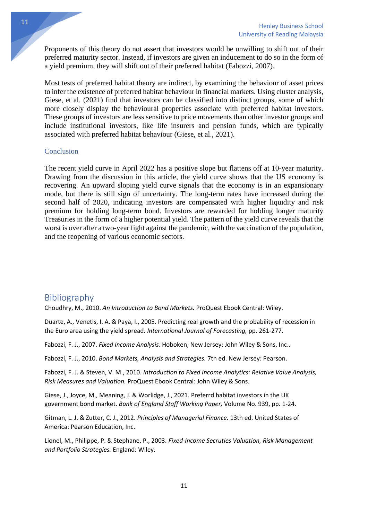Proponents of this theory do not assert that investors would be unwilling to shift out of their preferred maturity sector. Instead, if investors are given an inducement to do so in the form of a yield premium, they will shift out of their preferred habitat (Fabozzi, 2007).

Most tests of preferred habitat theory are indirect, by examining the behaviour of asset prices to infer the existence of preferred habitat behaviour in financial markets. Using cluster analysis, Giese, et al. (2021) find that investors can be classified into distinct groups, some of which more closely display the behavioural properties associate with preferred habitat investors. These groups of investors are less sensitive to price movements than other investor groups and include institutional investors, like life insurers and pension funds, which are typically associated with preferred habitat behaviour (Giese, et al., 2021).

#### Conclusion

The recent yield curve in April 2022 has a positive slope but flattens off at 10-year maturity. Drawing from the discussion in this article, the yield curve shows that the US economy is recovering. An upward sloping yield curve signals that the economy is in an expansionary mode, but there is still sign of uncertainty. The long-term rates have increased during the second half of 2020, indicating investors are compensated with higher liquidity and risk premium for holding long-term bond. Investors are rewarded for holding longer maturity Treasuries in the form of a higher potential yield. The pattern of the yield curve reveals that the worst is over after a two-year fight against the pandemic, with the vaccination of the population, and the reopening of various economic sectors.

# Bibliography

Choudhry, M., 2010. *An Introduction to Bond Markets.* ProQuest Ebook Central: Wiley.

Duarte, A., Venetis, I. A. & Paya, I., 2005. Predicting real growth and the probability of recession in the Euro area using the yield spread. *International Journal of Forecasting,* pp. 261-277.

Fabozzi, F. J., 2007. *Fixed Income Analysis.* Hoboken, New Jersey: John Wiley & Sons, Inc..

Fabozzi, F. J., 2010. *Bond Markets, Analysis and Strategies.* 7th ed. New Jersey: Pearson.

Fabozzi, F. J. & Steven, V. M., 2010. *Introduction to Fixed Income Analytics: Relative Value Analysis, Risk Measures and Valuation.* ProQuest Ebook Central: John Wiley & Sons.

Giese, J., Joyce, M., Meaning, J. & Worlidge, J., 2021. Preferrd habitat investors in the UK government bond market. *Bank of England Staff Working Paper,* Volume No. 939, pp. 1-24.

Gitman, L. J. & Zutter, C. J., 2012. *Principles of Managerial Finance.* 13th ed. United States of America: Pearson Education, Inc.

Lionel, M., Philippe, P. & Stephane, P., 2003. *Fixed-Income Secruties Valuation, Risk Management and Portfolio Strategies.* England: Wiley.